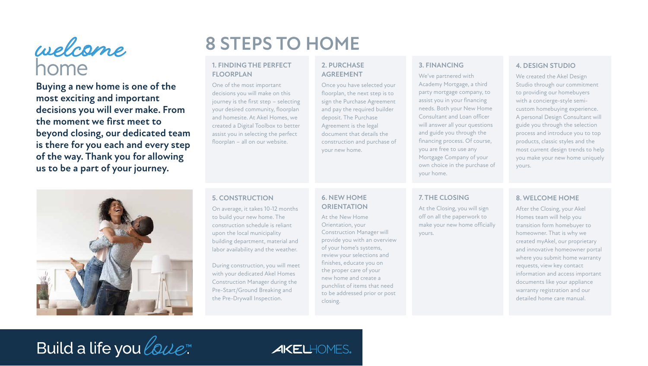## home **welcome**

**Buying a new home is one of the most exciting and important decisions you will ever make. From the moment we first meet to beyond closing, our dedicated team is there for you each and every step of the way. Thank you for allowing us to be a part of your journey.**



### **1. FINDING THE PERFECT FLOORPLAN**

One of the most important decisions you will make on this journey is the first step – selecting your desired community, floorplan and homesite. At Akel Homes, we created a Digital Toolbox to better assist you in selecting the perfect floorplan – all on our website.

### **5. CONSTRUCTION**

On average, it takes 10-12 months to build your new home. The construction schedule is reliant upon the local municipality building department, material and labor availability and the weather.

During construction, you will meet with your dedicated Akel Homes Construction Manager during the Pre-Start/Ground Breaking and the Pre-Drywall Inspection.

### **2. PURCHASE AGREEMENT**

Once you have selected your floorplan, the next step is to sign the Purchase Agreement and pay the required builder deposit. The Purchase Agreement is the legal document that details the construction and purchase of your new home.

### **6. NEW HOME ORIENTATION**

At the New Home Orientation, your Construction Manager will provide you with an overview of your home's systems, review your selections and finishes, educate you on the proper care of your new home and create a punchlist of items that need to be addressed prior or post closing.

### **3. FINANCING**

We've partnered with Academy Mortgage, a third party mortgage company, to assist you in your financing needs. Both your New Home Consultant and Loan officer will answer all your questions and guide you through the financing process. Of course, you are free to use any Mortgage Company of your own choice in the purchase of your home.

### **7. THE CLOSING**

At the Closing, you will sign off on all the paperwork to make your new home officially yours.

# **Build a life you love™**

### **AKELHOMES.**

### **4. DESIGN STUDIO**

We created the Akel Design Studio through our commitment to providing our homebuyers with a concierge-style semicustom homebuying experience. A personal Design Consultant will guide you through the selection process and introduce you to top products, classic styles and the most current design trends to help you make your new home uniquely yours.

### **8. WELCOME HOME**

After the Closing, your Akel Homes team will help you transition form homebuyer to homeowner. That is why we created myAkel, our proprietary and innovative homeowner portal where you submit home warranty requests, view key contact information and access important documents like your appliance warranty registration and our detailed home care manual.

# **8 STEPS TO HOME**